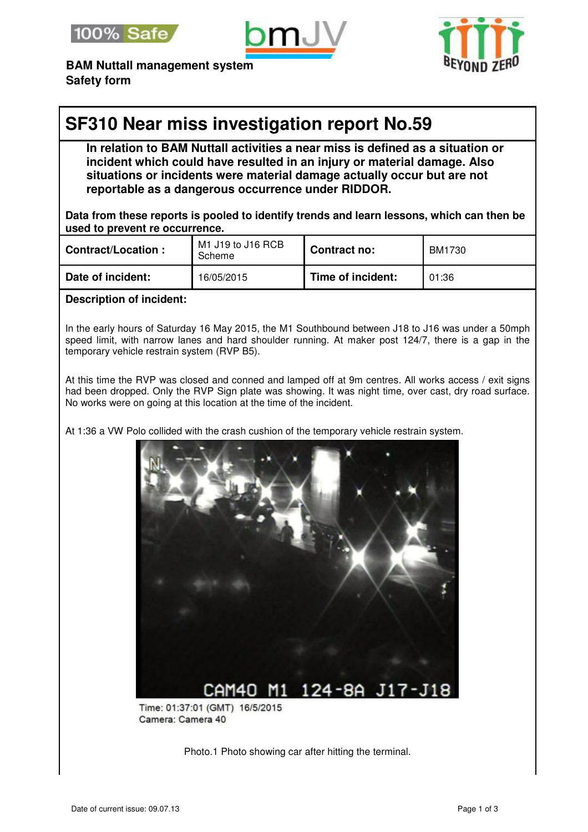





**BAM Nuttall management system Safety form**

# **SF310 Near miss investigation report No.59**

**In relation to BAM Nuttall activities a near miss is defined as a situation or incident which could have resulted in an injury or material damage. Also situations or incidents were material damage actually occur but are not reportable as a dangerous occurrence under RIDDOR.** 

**Data from these reports is pooled to identify trends and learn lessons, which can then be used to prevent re occurrence.**

| <b>Contract/Location:</b> | M1 J19 to J16 RCB<br>Scheme | Contract no:      | <b>BM1730</b> |
|---------------------------|-----------------------------|-------------------|---------------|
| Date of incident:         | 16/05/2015                  | Time of incident: | 01:36         |

### **Description of incident:**

In the early hours of Saturday 16 May 2015, the M1 Southbound between J18 to J16 was under a 50mph speed limit, with narrow lanes and hard shoulder running. At maker post 124/7, there is a gap in the temporary vehicle restrain system (RVP B5).

At this time the RVP was closed and conned and lamped off at 9m centres. All works access / exit signs had been dropped. Only the RVP Sign plate was showing. It was night time, over cast, dry road surface. No works were on going at this location at the time of the incident.

At 1:36 a VW Polo collided with the crash cushion of the temporary vehicle restrain system.



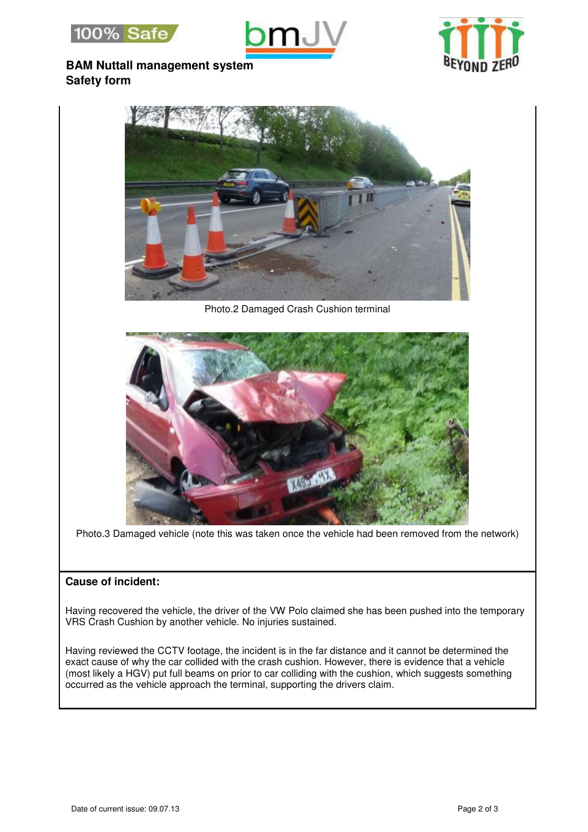





## **BAM Nuttall management system Safety form**



Photo.2 Damaged Crash Cushion terminal



Photo.3 Damaged vehicle (note this was taken once the vehicle had been removed from the network)

### **Cause of incident:**

Having recovered the vehicle, the driver of the VW Polo claimed she has been pushed into the temporary VRS Crash Cushion by another vehicle. No injuries sustained.

Having reviewed the CCTV footage, the incident is in the far distance and it cannot be determined the exact cause of why the car collided with the crash cushion. However, there is evidence that a vehicle (most likely a HGV) put full beams on prior to car colliding with the cushion, which suggests something occurred as the vehicle approach the terminal, supporting the drivers claim.